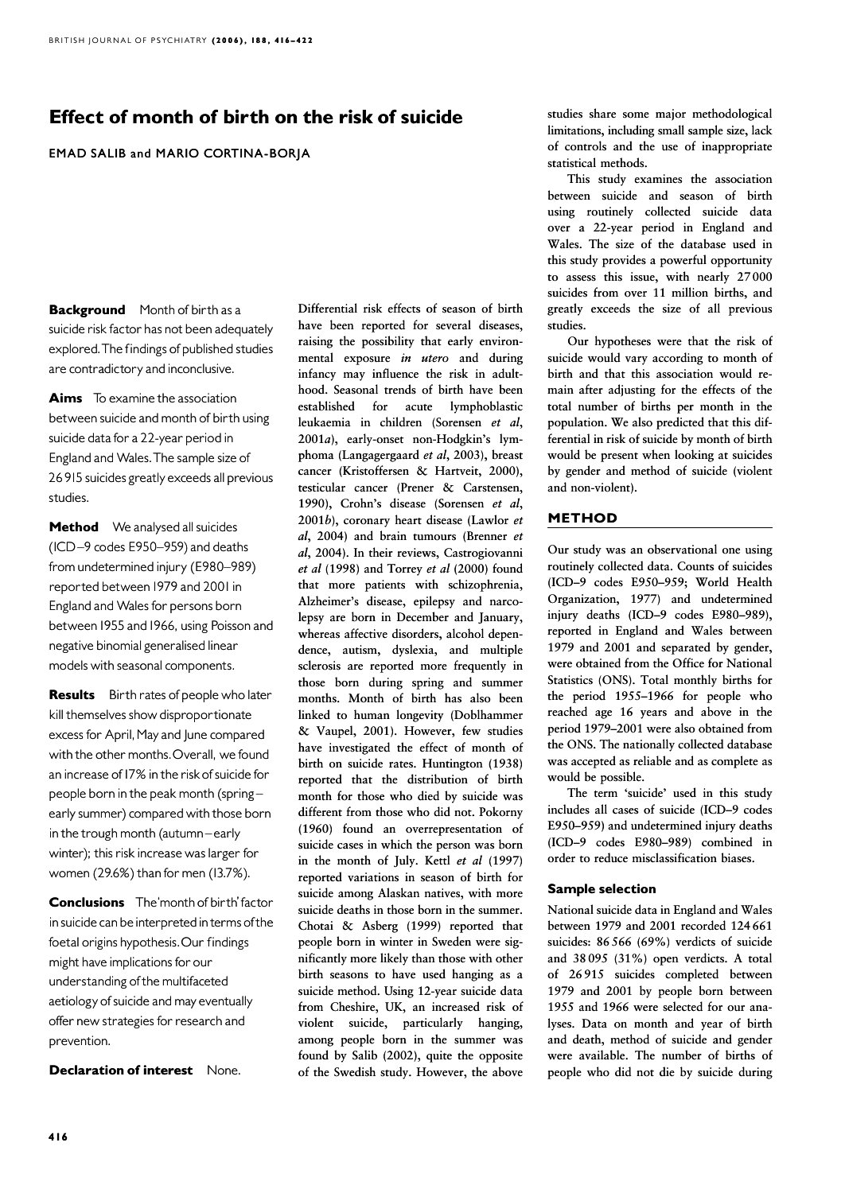# Effect of month of birth on the risk of suicide

EMAD SALIB and MARIO CORTINA-BORJA

**Background** Month of birth as a suicide risk factor has not been adequately explored. The findings of published studies are contradictory and inconclusive.

Aims To examine the association between suicide and month of birth using suicide data for a 22-year period in England and Wales.The sample size of 26 915 suicides greatly exceeds all previous studies.

Method We analysed all suicides (ICD $-9$  codes E950 $-959$ ) and deaths from undetermined injury (E980-989) reported between 1979 and 2001 in England and Wales for persons born between 1955 and 1966, using Poisson and negative binomial generalised linear models with seasonal components.

**Results** Birth rates of people who later kill themselves show disproportionate excess for April, May and June compared with the other months. Overall, we found anincrease of17% in the riskof suicide for people born in the peak month (spring early summer) compared with those born in the trough month (autumn-early winter); this risk increase was larger for women  $(29.6%)$  than for men  $(13.7%)$ .

Conclusions The'month of birth'factor in suicide can be interpreted in terms of the foetal origins hypothesis. Our findings might haveimplications for our understanding of the multifaceted aetiology of suicide and may eventually offer new strategies for research and prevention.

Declaration of interest None.

Differential risk effects of season of birth have been reported for several diseases, raising the possibility that early environmental exposure in utero and during infancy may influence the risk in adulthood. Seasonal trends of birth have been established for acute lymphoblastic leukaemia in children (Sorensen et al, 2001a), early-onset non-Hodgkin's lymphoma (Langagergaard et al, 2003), breast cancer (Kristoffersen & Hartveit, 2000), testicular cancer (Prener & Carstensen, 1990), Crohn's disease (Sorensen et al, 2001b), coronary heart disease (Lawlor et al, 2004) and brain tumours (Brenner et al, 2004). In their reviews, Castrogiovanni et al (1998) and Torrey et al (2000) found that more patients with schizophrenia, Alzheimer's disease, epilepsy and narcolepsy are born in December and January, whereas affective disorders, alcohol dependence, autism, dyslexia, and multiple sclerosis are reported more frequently in those born during spring and summer months. Month of birth has also been linked to human longevity (Doblhammer & Vaupel, 2001). However, few studies have investigated the effect of month of birth on suicide rates. Huntington (1938) reported that the distribution of birth month for those who died by suicide was different from those who did not. Pokorny (1960) found an overrepresentation of suicide cases in which the person was born in the month of July. Kettl et al (1997) reported variations in season of birth for suicide among Alaskan natives, with more suicide deaths in those born in the summer. Chotai & Asberg (1999) reported that people born in winter in Sweden were significantly more likely than those with other birth seasons to have used hanging as a suicide method. Using 12-year suicide data from Cheshire, UK, an increased risk of violent suicide, particularly hanging, among people born in the summer was found by Salib (2002), quite the opposite of the Swedish study. However, the above

studies share some major methodological limitations, including small sample size, lack of controls and the use of inappropriate statistical methods.

This study examines the association between suicide and season of birth using routinely collected suicide data over a 22-year period in England and Wales. The size of the database used in this study provides a powerful opportunity to assess this issue, with nearly 27 000 suicides from over 11 million births, and greatly exceeds the size of all previous studies.

Our hypotheses were that the risk of suicide would vary according to month of birth and that this association would remain after adjusting for the effects of the total number of births per month in the population. We also predicted that this differential in risk of suicide by month of birth would be present when looking at suicides by gender and method of suicide (violent and non-violent).

## METHOD

Our study was an observational one using routinely collected data. Counts of suicides (ICD–9 codes E950–959; World Health Organization, 1977) and undetermined injury deaths (ICD–9 codes E980–989), reported in England and Wales between 1979 and 2001 and separated by gender, were obtained from the Office for National Statistics (ONS). Total monthly births for the period 1955–1966 for people who reached age 16 years and above in the period 1979–2001 were also obtained from the ONS. The nationally collected database was accepted as reliable and as complete as would be possible.

The term 'suicide' used in this study includes all cases of suicide (ICD–9 codes E950–959) and undetermined injury deaths (ICD–9 codes E980–989) combined in order to reduce misclassification biases.

### Sample selection

National suicide data in England and Wales between 1979 and 2001 recorded 124 661 suicides: 86 566 (69%) verdicts of suicide and 38 095 (31%) open verdicts. A total of 26 915 suicides completed between 1979 and 2001 by people born between 1955 and 1966 were selected for our analyses. Data on month and year of birth and death, method of suicide and gender were available. The number of births of people who did not die by suicide during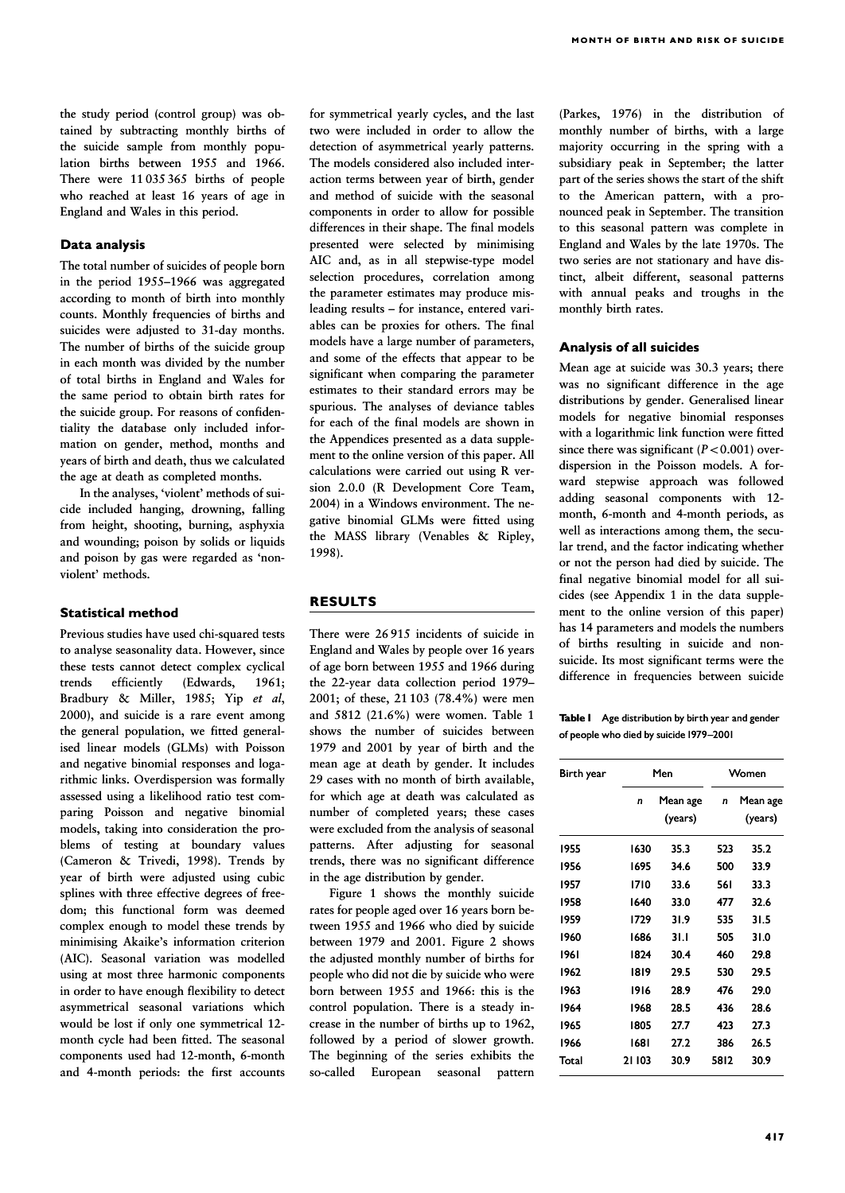the study period (control group) was obtained by subtracting monthly births of the suicide sample from monthly population births between 1955 and 1966. There were 11 035 365 births of people who reached at least 16 years of age in England and Wales in this period.

#### Data analysis

The total number of suicides of people born in the period 1955–1966 was aggregated according to month of birth into monthly counts. Monthly frequencies of births and suicides were adjusted to 31-day months. The number of births of the suicide group in each month was divided by the number of total births in England and Wales for the same period to obtain birth rates for the suicide group. For reasons of confidentiality the database only included information on gender, method, months and years of birth and death, thus we calculated the age at death as completed months.

In the analyses, 'violent' methods of suicide included hanging, drowning, falling from height, shooting, burning, asphyxia and wounding; poison by solids or liquids and poison by gas were regarded as 'nonviolent' methods.

## Statistical method

Previous studies have used chi-squared tests to analyse seasonality data. However, since these tests cannot detect complex cyclical trends efficiently (Edwards, 1961; Bradbury & Miller, 1985; Yip et al, 2000), and suicide is a rare event among the general population, we fitted generalised linear models (GLMs) with Poisson and negative binomial responses and logarithmic links. Overdispersion was formally assessed using a likelihood ratio test comparing Poisson and negative binomial models, taking into consideration the problems of testing at boundary values (Cameron & Trivedi, 1998). Trends by year of birth were adjusted using cubic splines with three effective degrees of freedom; this functional form was deemed complex enough to model these trends by minimising Akaike's information criterion (AIC). Seasonal variation was modelled using at most three harmonic components in order to have enough flexibility to detect asymmetrical seasonal variations which would be lost if only one symmetrical 12 month cycle had been fitted. The seasonal components used had 12-month, 6-month and 4-month periods: the first accounts

for symmetrical yearly cycles, and the last two were included in order to allow the detection of asymmetrical yearly patterns. The models considered also included interaction terms between year of birth, gender and method of suicide with the seasonal components in order to allow for possible differences in their shape. The final models presented were selected by minimising AIC and, as in all stepwise-type model selection procedures, correlation among the parameter estimates may produce misleading results – for instance, entered variables can be proxies for others. The final models have a large number of parameters, and some of the effects that appear to be significant when comparing the parameter estimates to their standard errors may be spurious. The analyses of deviance tables for each of the final models are shown in the Appendices presented as a data supplement to the online version of this paper. All calculations were carried out using R version 2.0.0 (R Development Core Team, 2004) in a Windows environment. The negative binomial GLMs were fitted using the MASS library (Venables & Ripley, 1998).

## RESULTS

There were 26 915 incidents of suicide in England and Wales by people over 16 years of age born between 1955 and 1966 during the 22-year data collection period 1979– 2001; of these, 21 103 (78.4%) were men and 5812 (21.6%) were women. Table 1 shows the number of suicides between 1979 and 2001 by year of birth and the mean age at death by gender. It includes 29 cases with no month of birth available, for which age at death was calculated as number of completed years; these cases were excluded from the analysis of seasonal patterns. After adjusting for seasonal trends, there was no significant difference in the age distribution by gender.

Figure 1 shows the monthly suicide rates for people aged over 16 years born between 1955 and 1966 who died by suicide between 1979 and 2001. Figure 2 shows the adjusted monthly number of births for people who did not die by suicide who were born between 1955 and 1966: this is the control population. There is a steady increase in the number of births up to 1962, followed by a period of slower growth. The beginning of the series exhibits the so-called European seasonal pattern (Parkes, 1976) in the distribution of monthly number of births, with a large majority occurring in the spring with a subsidiary peak in September; the latter part of the series shows the start of the shift to the American pattern, with a pronounced peak in September. The transition to this seasonal pattern was complete in England and Wales by the late 1970s. The two series are not stationary and have distinct, albeit different, seasonal patterns with annual peaks and troughs in the monthly birth rates.

#### Analysis of all suicides

Mean age at suicide was 30.3 years; there was no significant difference in the age distributions by gender. Generalised linear models for negative binomial responses with a logarithmic link function were fitted since there was significant  $(P<0.001)$  overdispersion in the Poisson models. A forward stepwise approach was followed adding seasonal components with 12 month, 6-month and 4-month periods, as well as interactions among them, the secular trend, and the factor indicating whether or not the person had died by suicide. The final negative binomial model for all suicides (see Appendix 1 in the data supplement to the online version of this paper) has 14 parameters and models the numbers of births resulting in suicide and nonsuicide. Its most significant terms were the difference in frequencies between suicide

Table I Age distribution by birth year and gender of people who died by suicide 1979-2001

| Birth year |       | Men                 | Women |                     |  |  |
|------------|-------|---------------------|-------|---------------------|--|--|
|            | n     | Mean age<br>(years) | n     | Mean age<br>(years) |  |  |
| 1955       | 1630  | 35.3                | 523   | 35.2                |  |  |
| 1956       | 1695  | 34.6                | 500   | 33.9                |  |  |
| 1957       | 1710  | 33.6                | 561   | 33.3                |  |  |
| 1958       | 1640  | 33.0                | 477   | 32.6                |  |  |
| 1959       | 1729  | 31.9                | 535   | 31.5                |  |  |
| 1960       | 1686  | 31.1                | 505   | 31.0                |  |  |
| 1961       | 1824  | 30.4                | 460   | 29.8                |  |  |
| 1962       | 1819  | 29.5                | 530   | 29.5                |  |  |
| 1963       | 1916  | 28.9                | 476   | 29.0                |  |  |
| 1964       | 1968  | 28.5                | 436   | 28.6                |  |  |
| 1965       | 1805  | 27.7                | 423   | 27.3                |  |  |
| 1966       | 1681  | 27.2                | 386   | 26.5                |  |  |
| Total      | 21103 | 30.9                | 5812  | 30.9                |  |  |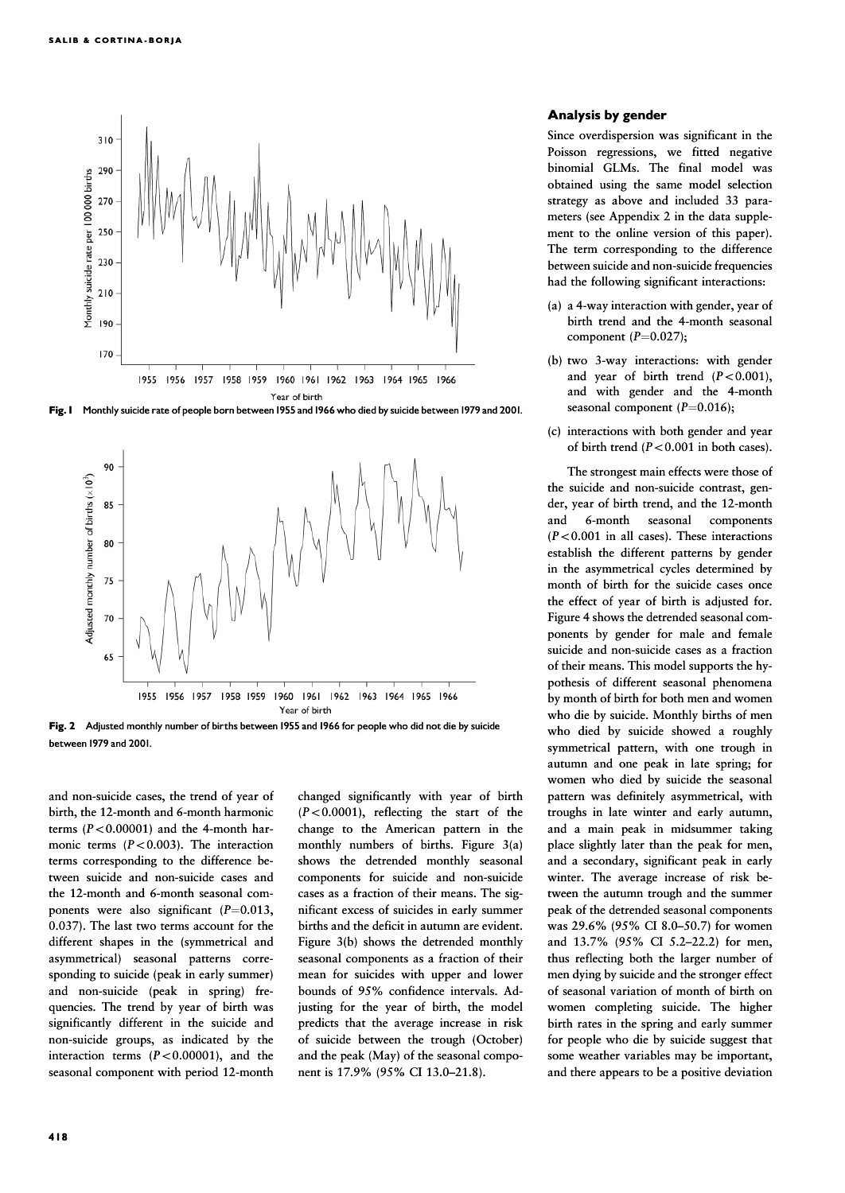

Fig. I Monthly suicide rate of people born between 1955 and 1966 who died by suicide between 1979 and 2001.



Fig. 2 Adjusted monthly number of births between 1955 and 1966 for people who did not die by suicide between 1979 and 2001.

and non-suicide cases, the trend of year of birth, the 12-month and 6-month harmonic terms  $(P<0.00001)$  and the 4-month harmonic terms  $(P<0.003)$ . The interaction terms corresponding to the difference between suicide and non-suicide cases and the 12-month and 6-month seasonal components were also significant  $(P=0.013$ , 0.037). The last two terms account for the different shapes in the (symmetrical and asymmetrical) seasonal patterns corresponding to suicide (peak in early summer) and non-suicide (peak in spring) frequencies. The trend by year of birth was significantly different in the suicide and non-suicide groups, as indicated by the interaction terms  $(P<0.00001)$ , and the seasonal component with period 12-month

changed significantly with year of birth  $(P<0.0001)$ , reflecting the start of the change to the American pattern in the monthly numbers of births. Figure 3(a) shows the detrended monthly seasonal components for suicide and non-suicide cases as a fraction of their means. The significant excess of suicides in early summer births and the deficit in autumn are evident. Figure 3(b) shows the detrended monthly seasonal components as a fraction of their mean for suicides with upper and lower bounds of 95% confidence intervals. Adjusting for the year of birth, the model predicts that the average increase in risk of suicide between the trough (October) and the peak (May) of the seasonal component is 17.9% (95% CI 13.0–21.8).

#### Analysis by gender

Since overdispersion was significant in the Poisson regressions, we fitted negative binomial GLMs. The final model was obtained using the same model selection strategy as above and included 33 parameters (see Appendix 2 in the data supplement to the online version of this paper). The term corresponding to the difference between suicide and non-suicide frequencies had the following significant interactions:

- (a) a 4-way interaction with gender, year of birth trend and the 4-month seasonal component  $(P=0.027)$ ;
- (b) two 3-way interactions: with gender and year of birth trend  $(P<0.001)$ , and with gender and the 4-month seasonal component  $(P=0.016)$ ;
- $(c)$  interactions with both gender and year of birth trend  $(P<0.001$  in both cases).

The strongest main effects were those of the suicide and non-suicide contrast, gender, year of birth trend, and the 12-month and 6-month seasonal components  $(P<0.001$  in all cases). These interactions establish the different patterns by gender in the asymmetrical cycles determined by month of birth for the suicide cases once the effect of year of birth is adjusted for. Figure 4 shows the detrended seasonal components by gender for male and female suicide and non-suicide cases as a fraction of their means. This model supports the hypothesis of different seasonal phenomena by month of birth for both men and women who die by suicide. Monthly births of men who died by suicide showed a roughly symmetrical pattern, with one trough in autumn and one peak in late spring; for women who died by suicide the seasonal pattern was definitely asymmetrical, with troughs in late winter and early autumn, and a main peak in midsummer taking place slightly later than the peak for men, and a secondary, significant peak in early winter. The average increase of risk between the autumn trough and the summer peak of the detrended seasonal components was 29.6% (95% CI 8.0–50.7) for women and 13.7% (95% CI 5.2–22.2) for men, thus reflecting both the larger number of men dying by suicide and the stronger effect of seasonal variation of month of birth on women completing suicide. The higher birth rates in the spring and early summer for people who die by suicide suggest that some weather variables may be important, and there appears to be a positive deviation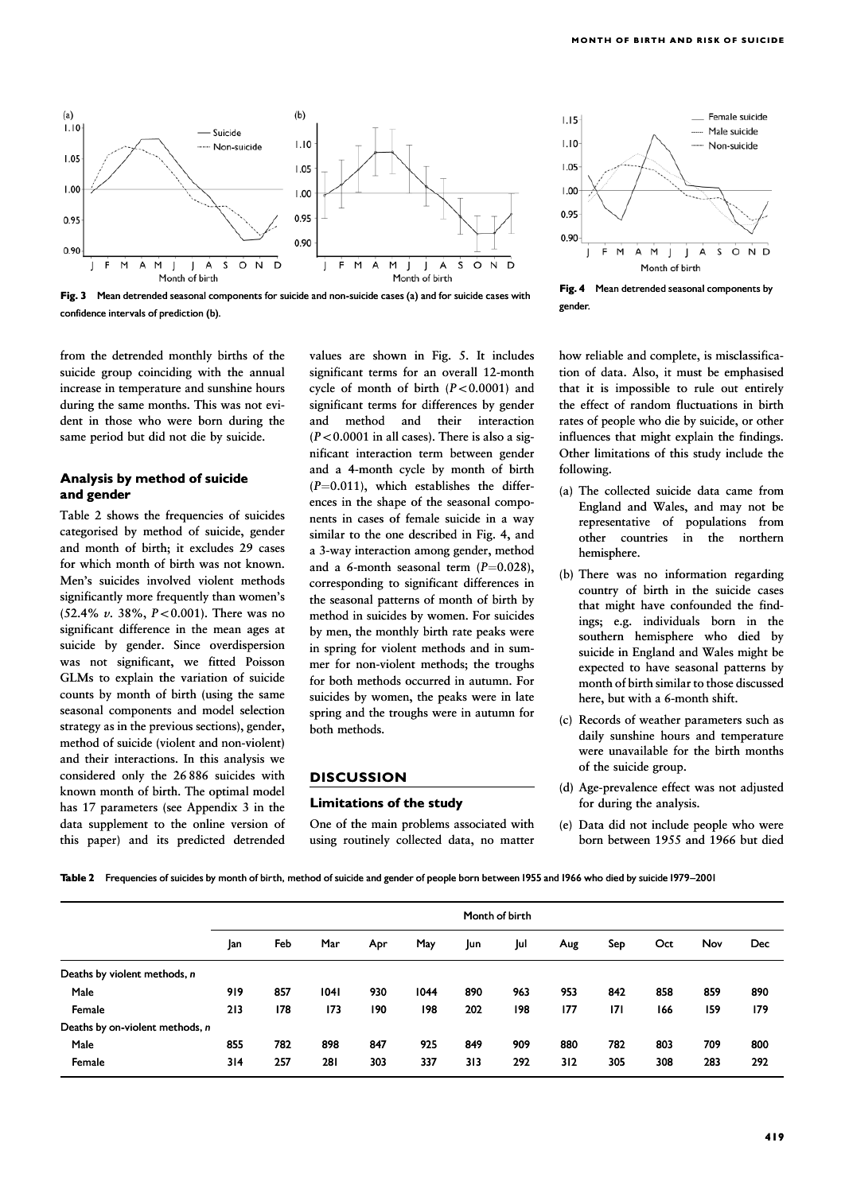

Fig. 3 Mean detrended seasonal components for suicide and non-suicide cases (a) and for suicide cases with confidence intervals of prediction (b).

from the detrended monthly births of the suicide group coinciding with the annual increase in temperature and sunshine hours during the same months. This was not evident in those who were born during the same period but did not die by suicide.

## Analysis by method of suicide and gender

Table 2 shows the frequencies of suicides categorised by method of suicide, gender and month of birth; it excludes 29 cases for which month of birth was not known. Men's suicides involved violent methods significantly more frequently than women's (52.4%  $\nu$ . 38%,  $P < 0.001$ ). There was no significant difference in the mean ages at suicide by gender. Since overdispersion was not significant, we fitted Poisson GLMs to explain the variation of suicide counts by month of birth (using the same seasonal components and model selection strategy as in the previous sections), gender, method of suicide (violent and non-violent) and their interactions. In this analysis we considered only the 26 886 suicides with known month of birth. The optimal model has 17 parameters (see Appendix 3 in the data supplement to the online version of this paper) and its predicted detrended values are shown in Fig. 5. It includes significant terms for an overall 12-month cycle of month of birth  $(P<0.0001)$  and significant terms for differences by gender and method and their interaction  $(P<0.0001$  in all cases). There is also a significant interaction term between gender and a 4-month cycle by month of birth  $(P=0.011)$ , which establishes the differences in the shape of the seasonal components in cases of female suicide in a way similar to the one described in Fig. 4, and a 3-way interaction among gender, method and a 6-month seasonal term  $(P=0.028)$ , corresponding to significant differences in the seasonal patterns of month of birth by method in suicides by women. For suicides by men, the monthly birth rate peaks were in spring for violent methods and in summer for non-violent methods; the troughs for both methods occurred in autumn. For suicides by women, the peaks were in late spring and the troughs were in autumn for both methods.

#### **DISCUSSION**

#### Limitations of the study

One of the main problems associated with using routinely collected data, no matter



Fig. 4 Mean detrended seasonal components by gender. gender.

how reliable and complete, is misclassification of data. Also, it must be emphasised that it is impossible to rule out entirely the effect of random fluctuations in birth rates of people who die by suicide, or other influences that might explain the findings. Other limitations of this study include the following.

- $(a)$  The collected suicide data came from England and Wales, and may not be representative of populations from other countries in the northern hemisphere.
- (b) There was no information regarding country of birth in the suicide cases that might have confounded the findings; e.g. individuals born in the southern hemisphere who died by suicide in England and Wales might be expected to have seasonal patterns by month of birth similar to those discussed here, but with a 6-month shift.
- (c) Records of weather parameters such as daily sunshine hours and temperature were unavailable for the birth months of the suicide group.
- (d) Age-prevalence effect was not adjusted for during the analysis.
- (e) Data did not include people who were born between 1955 and 1966 but died

Table 2 Frequencies of suicides by month of birth, method of suicide and gender of people born between 1955 and 1966 who died by suicide 1979-2001

|                                 |     | Month of birth |      |     |      |     |     |     |     |     |     |     |
|---------------------------------|-----|----------------|------|-----|------|-----|-----|-----|-----|-----|-----|-----|
|                                 | Jan | Feb            | Mar  | Apr | May  | Jun | Jul | Aug | Sep | Oct | Nov | Dec |
| Deaths by violent methods, n    |     |                |      |     |      |     |     |     |     |     |     |     |
| Male                            | 919 | 857            | 1041 | 930 | 1044 | 890 | 963 | 953 | 842 | 858 | 859 | 890 |
| Female                          | 213 | 178            | 173  | 190 | 198  | 202 | 198 | 177 | 171 | 166 | 159 | 179 |
| Deaths by on-violent methods, n |     |                |      |     |      |     |     |     |     |     |     |     |
| Male                            | 855 | 782            | 898  | 847 | 925  | 849 | 909 | 880 | 782 | 803 | 709 | 800 |
| Female                          | 314 | 257            | 281  | 303 | 337  | 313 | 292 | 312 | 305 | 308 | 283 | 292 |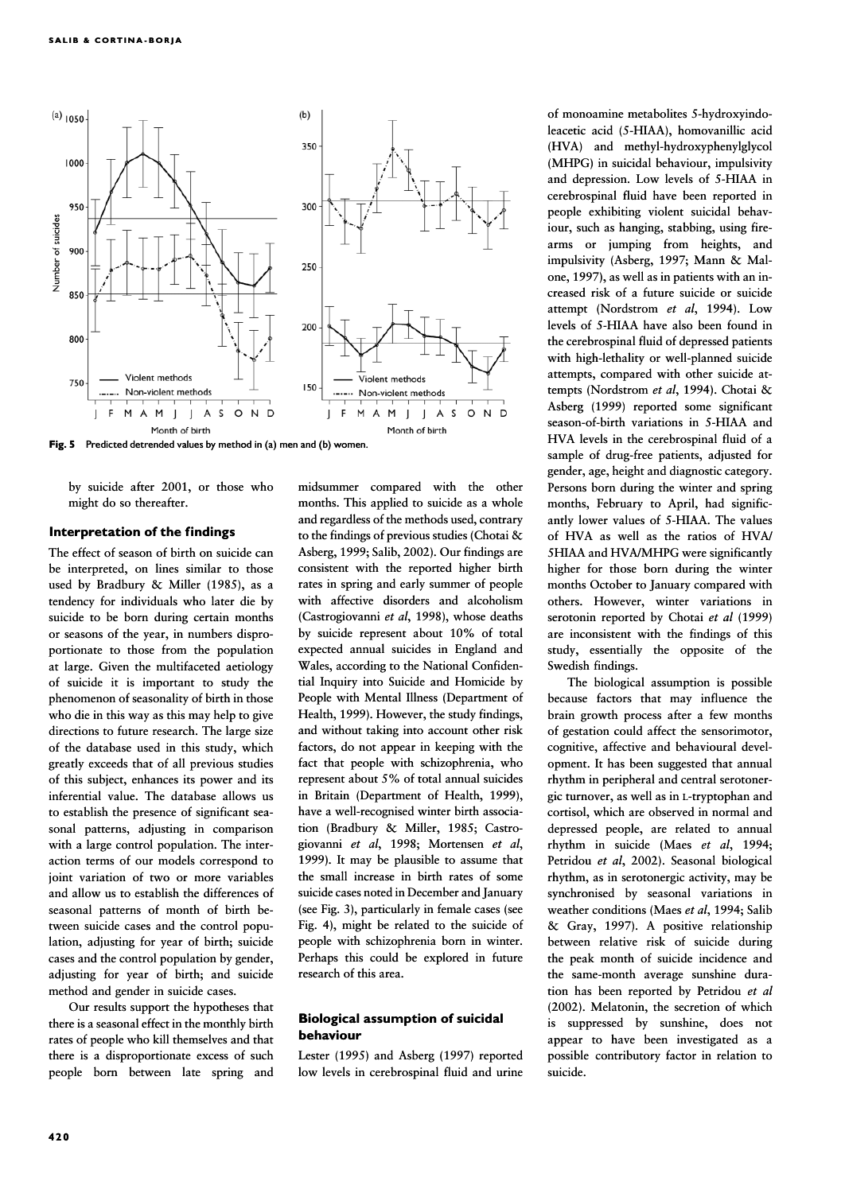

Fig. 5 Predicted detrended values by method in (a) men and (b) women.

by suicide after 2001, or those who might do so thereafter.

#### Interpretation of the findings

The effect of season of birth on suicide can be interpreted, on lines similar to those used by Bradbury & Miller (1985), as a tendency for individuals who later die by suicide to be born during certain months or seasons of the year, in numbers disproportionate to those from the population at large. Given the multifaceted aetiology of suicide it is important to study the phenomenon of seasonality of birth in those who die in this way as this may help to give directions to future research. The large size of the database used in this study, which greatly exceeds that of all previous studies of this subject, enhances its power and its inferential value. The database allows us to establish the presence of significant seasonal patterns, adjusting in comparison with a large control population. The interaction terms of our models correspond to joint variation of two or more variables and allow us to establish the differences of seasonal patterns of month of birth between suicide cases and the control population, adjusting for year of birth; suicide cases and the control population by gender, adjusting for year of birth; and suicide method and gender in suicide cases.

Our results support the hypotheses that there is a seasonal effect in the monthly birth rates of people who kill themselves and that there is a disproportionate excess of such people born between late spring and between late spring and midsummer compared with the other months. This applied to suicide as a whole and regardless of the methods used, contrary to the findings of previous studies (Chotai  $\&$ Asberg, 1999; Salib, 2002). Our findings are consistent with the reported higher birth rates in spring and early summer of people with affective disorders and alcoholism (Castrogiovanni et al, 1998), whose deaths by suicide represent about 10% of total expected annual suicides in England and Wales, according to the National Confidential Inquiry into Suicide and Homicide by People with Mental Illness (Department of Health, 1999). However, the study findings, and without taking into account other risk factors, do not appear in keeping with the fact that people with schizophrenia, who represent about 5% of total annual suicides in Britain (Department of Health, 1999), have a well-recognised winter birth association (Bradbury & Miller, 1985; Castrogiovanni et al, 1998; Mortensen et al, 1999). It may be plausible to assume that the small increase in birth rates of some suicide cases noted in December and January (see Fig. 3), particularly in female cases (see Fig. 4), might be related to the suicide of people with schizophrenia born in winter. Perhaps this could be explored in future research of this area.

## Biological assumption of suicidal behaviour

Lester (1995) and Asberg (1997) reported low levels in cerebrospinal fluid and urine of monoamine metabolites 5-hydroxyindoleacetic acid (5-HIAA), homovanillic acid (HVA) and methyl-hydroxyphenylglycol (MHPG) in suicidal behaviour, impulsivity and depression. Low levels of 5-HIAA in cerebrospinal fluid have been reported in people exhibiting violent suicidal behaviour, such as hanging, stabbing, using firearms or jumping from heights, and impulsivity (Asberg, 1997; Mann & Malone, 1997), as well as in patients with an increased risk of a future suicide or suicide attempt (Nordstrom et al, 1994). Low levels of 5-HIAA have also been found in the cerebrospinal fluid of depressed patients with high-lethality or well-planned suicide attempts, compared with other suicide attempts (Nordstrom et al, 1994). Chotai & Asberg (1999) reported some significant season-of-birth variations in 5-HIAA and HVA levels in the cerebrospinal fluid of a sample of drug-free patients, adjusted for gender, age, height and diagnostic category. Persons born during the winter and spring months, February to April, had significantly lower values of 5-HIAA. The values of HVA as well as the ratios of HVA/ 5HIAA and HVA/MHPG were significantly higher for those born during the winter months October to January compared with others. However, winter variations in serotonin reported by Chotai et al (1999) are inconsistent with the findings of this study, essentially the opposite of the Swedish findings.

The biological assumption is possible because factors that may influence the brain growth process after a few months of gestation could affect the sensorimotor, cognitive, affective and behavioural development. It has been suggested that annual rhythm in peripheral and central serotonergic turnover, as well as in L-tryptophan and cortisol, which are observed in normal and depressed people, are related to annual rhythm in suicide (Maes et al, 1994; Petridou et al, 2002). Seasonal biological rhythm, as in serotonergic activity, may be synchronised by seasonal variations in weather conditions (Maes et al, 1994; Salib & Gray, 1997). A positive relationship between relative risk of suicide during the peak month of suicide incidence and the same-month average sunshine duration has been reported by Petridou et al (2002). Melatonin, the secretion of which is suppressed by sunshine, does not appear to have been investigated as a possible contributory factor in relation to suicide.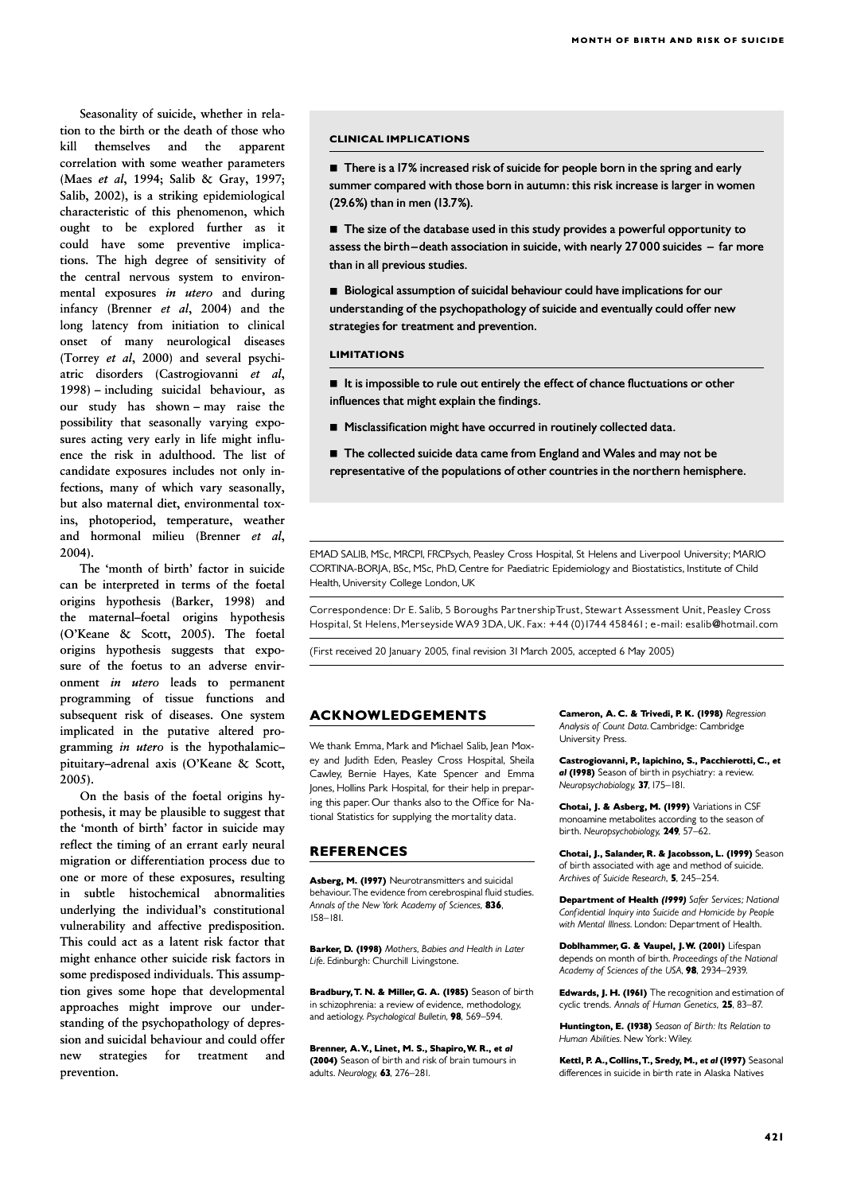Seasonality of suicide, whether in relation to the birth or the death of those who kill themselves and the apparent correlation with some weather parameters (Maes et al, 1994; Salib & Gray, 1997; Salib, 2002), is a striking epidemiological characteristic of this phenomenon, which ought to be explored further as it could have some preventive implications. The high degree of sensitivity of the central nervous system to environmental exposures in utero and during infancy (Brenner et al, 2004) and the long latency from initiation to clinical onset of many neurological diseases (Torrey  $et \ al.$  2000) and several psychiatric disorders (Castrogiovanni et al, 1998) – including suicidal behaviour, as our study has shown - may raise the possibility that seasonally varying exposures acting very early in life might influence the risk in adulthood. The list of candidate exposures includes not only infections, many of which vary seasonally, but also maternal diet, environmental toxins, photoperiod, temperature, weather and hormonal milieu (Brenner et al, 2004).

The 'month of birth' factor in suicide can be interpreted in terms of the foetal origins hypothesis (Barker, 1998) and the maternal–foetal origins hypothesis (O'Keane & Scott, 2005). The foetal origins hypothesis suggests that exposure of the foetus to an adverse environment in utero leads to permanent programming of tissue functions and subsequent risk of diseases. One system implicated in the putative altered programming in utero is the hypothalamic– pituitary–adrenal axis (O'Keane & Scott, 2005).

On the basis of the foetal origins hypothesis, it may be plausible to suggest that the 'month of birth' factor in suicide may reflect the timing of an errant early neural migration or differentiation process due to one or more of these exposures, resulting in subtle histochemical abnormalities underlying the individual's constitutional vulnerability and affective predisposition. This could act as a latent risk factor that might enhance other suicide risk factors in some predisposed individuals. This assumption gives some hope that developmental approaches might improve our understanding of the psychopathology of depression and suicidal behaviour and could offer new strategies for treatment and prevention. prevention.

#### CLINICAL IMPLICATIONS CLINICAL IMPLICATIONS

There is a 17% increased risk of suicide for people born in the spring and early summer compared with those born in autumn: this risk increase is larger in women (29.6%) than in men (13.7%).

■ The size of the database used in this study provides a powerful opportunity to assess the birth-death association in suicide, with nearly  $27 000$  suicides  $-$  far more than in all previous studies.

Biological assumption of suicidal behaviour could have implications for our understanding of the psychopathology of suicide and eventually could offer new strategies for treatment and prevention.

#### LIMITATIONS

■ It is impossible to rule out entirely the effect of chance fluctuations or other influences that might explain the findings.

 $\blacksquare$  Misclassification might have occurred in routinely collected data.

■ The collected suicide data came from England and Wales and may not be representative of the populations of other countries in the northern hemisphere.

EMAD SALIB, MSc, MRCPI, FRCPsych, Peasley Cross Hospital, St Helens and Liverpool University; MARIO CORTINA-BORJA, BSc, MSc, PhD, Centre for Paediatric Epidemiology and Biostatistics, Institute of Child Health, University College London, UK

Correspondence: Dr E. Salib, 5 Boroughs PartnershipTrust, Stewart Assessment Unit, Peasley Cross Hospital, St Helens, Merseyside WA9 3DA, UK. Fax: +44 (0)1744 458461; e-mail: esalib@hotmail.com

(First received 20 January 2005, final revision 3I March 2005, accepted 6 May 2005)

## ACKNOWLEDGEMENTS

We thank Emma, Mark and Michael Salib, Jean Moxey and Judith Eden, Peasley Cross Hospital, Sheila Cawley, Bernie Hayes, Kate Spencer and Emma Jones, Hollins Park Hospital, for their help in preparing this paper. Our thanks also to the Office for National Statistics for supplying the mortality data.

#### REFERENCES

Asberg, M. (1997) Neurotransmitters and suicidal behaviour.The evidence from cerebrospinal fluid studies. Annals of the New York Academy of Sciences, 836, 158-181.

Barker, D. (1998) Mothers, Babies and Health in Later Life. Edinburgh: Churchill Livingstone.

Bradbury, T. N. & Miller, G. A. (1985) Season of birth in schizophrenia: a review of evidence, methodology, and aetiology. Psychological Bulletin, 98, 569-594.

Brenner, A.V., Linet, M. S., Shapiro, W. R., et al. (2004) Season of birth and risk of brain tumours in adults. Neurology, 63, 276-281.

Cameron, A. C. & Trivedi, P. K. (1998) Regression Analysis of Count Data.Cambridge: Cambridge University Press.

Castrogiovanni, P., Iapichino, S., Pacchierotti, C., et al (1998) Season of birth in psychiatry: a review. Neuropsychobiology, 37, 175-181.

Chotai, J. & Asberg, M. (1999) Variations in CSF monoamine metabolites according to the season of birth. Neuropsychobiology, 249, 57-62.

Chotai, J., Salander, R. & Jacobsson, L. (1999) Season of birth associated with age and method of suicide. Archives of Suicide Research, 5, 245-254.

Department of Health (1999) Safer Services: National Confidential Inquiry into Suicide and Homicide by People with Mental Illness. London: Department of Health.

Doblhammer, G. & Vaupel, J.W. (2001) Lifespan depends on month of birth. Proceedings of the National Academy of Sciences of the USA, 98, 2934-2939.

Edwards, J. H. (1961) The recognition and estimation of cyclic trends. Annals of Human Genetics, 25, 83-87.

Huntington, E. (1938) Season of Birth: Its Relation to Human Abilities. New York: Wiley.

Kettl, P. A., Collins, T., Sredy, M., et al (1997) Seasonal differences in suicide in birth rate in Alaska Natives